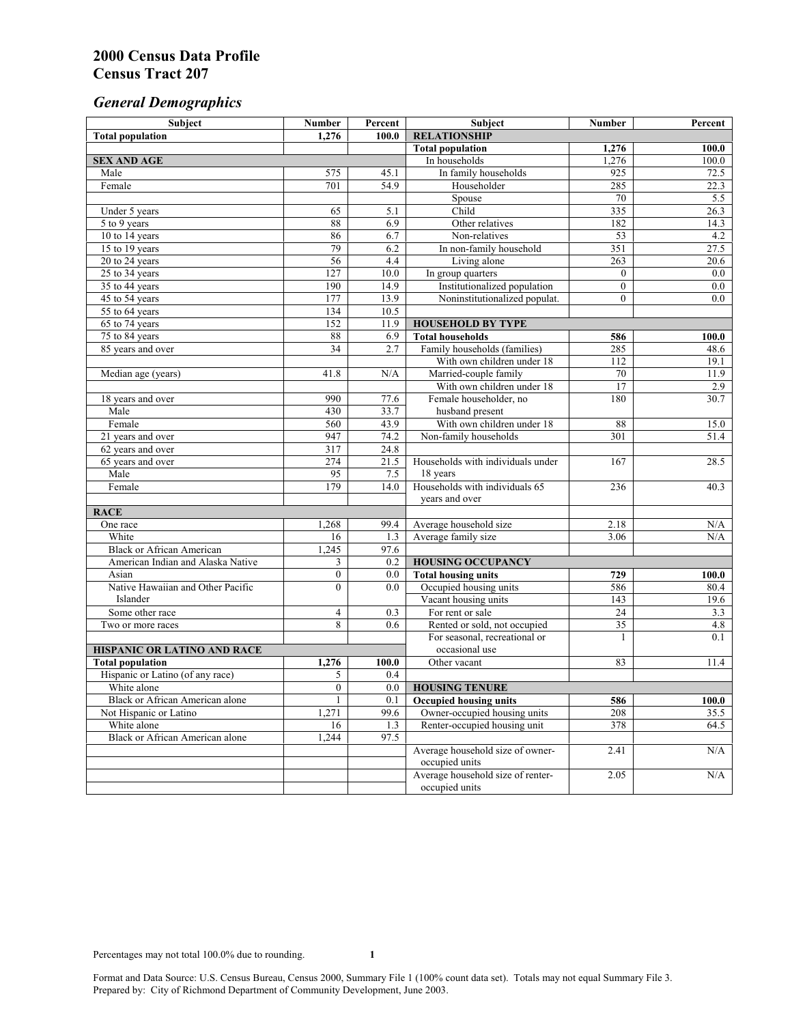# *General Demographics*

| Subject                           | <b>Number</b>               | Percent    | Subject                                             | <b>Number</b>  | Percent       |
|-----------------------------------|-----------------------------|------------|-----------------------------------------------------|----------------|---------------|
| <b>Total population</b>           | 1,276                       | 100.0      | <b>RELATIONSHIP</b>                                 |                |               |
|                                   |                             |            | <b>Total population</b>                             | 1,276          | 100.0         |
| <b>SEX AND AGE</b>                |                             |            | In households                                       | 1,276          | 100.0         |
| Male                              | 575                         | 45.1       | In family households                                | 925            | 72.5          |
| Female                            | $\overline{701}$            | 54.9       | Householder                                         | 285            | 22.3          |
|                                   |                             |            | Spouse                                              | 70             | 5.5           |
| Under 5 years                     | 65                          | 5.1        | Child                                               | 335            | 26.3          |
| 5 to 9 years                      | 88                          | 6.9        | Other relatives                                     | 182            | 14.3          |
| 10 to 14 years                    | 86                          | 6.7        | Non-relatives                                       | 53             | 4.2           |
| 15 to 19 years                    | 79                          | 6.2        | In non-family household                             | 351            | 27.5          |
| 20 to 24 years                    | 56                          | 4.4        | Living alone                                        | 263            | 20.6          |
| $25 \text{ to } 34$ years         | $\overline{127}$            | 10.0       | In group quarters                                   | $\overline{0}$ | 0.0           |
| 35 to 44 years                    | 190                         | 14.9       | Institutionalized population                        | $\overline{0}$ | 0.0           |
| 45 to 54 years                    | 177                         | 13.9       | Noninstitutionalized populat.                       | $\overline{0}$ | 0.0           |
| 55 to 64 years                    | 134                         | 10.5       |                                                     |                |               |
| 65 to 74 years                    | 152                         | 11.9       | <b>HOUSEHOLD BY TYPE</b><br><b>Total households</b> |                |               |
| 75 to 84 years                    | $\bf 88$<br>$\overline{34}$ | 6.9<br>2.7 | Family households (families)                        | 586<br>285     | 100.0<br>48.6 |
| 85 years and over                 |                             |            | With own children under 18                          | 112            | 19.1          |
|                                   | 41.8                        | N/A        | Married-couple family                               | 70             | 11.9          |
| Median age (years)                |                             |            | With own children under 18                          | 17             | 2.9           |
|                                   | 990                         | 77.6       | Female householder, no                              | 180            | 30.7          |
| 18 years and over<br>Male         | 430                         | 33.7       | husband present                                     |                |               |
| Female                            | 560                         | 43.9       | With own children under 18                          | 88             | 15.0          |
| 21 years and over                 | 947                         | 74.2       | Non-family households                               | 301            | 51.4          |
| 62 years and over                 | 317                         | 24.8       |                                                     |                |               |
| 65 years and over                 | 274                         | 21.5       | Households with individuals under                   | 167            | 28.5          |
| Male                              | 95                          | 7.5        | 18 years                                            |                |               |
| Female                            | 179                         | 14.0       | Households with individuals 65                      | 236            | 40.3          |
|                                   |                             |            | years and over                                      |                |               |
| <b>RACE</b>                       |                             |            |                                                     |                |               |
| One race                          | 1,268                       | 99.4       | Average household size                              | 2.18           | $\rm N/A$     |
| White                             | 16                          | 1.3        | Average family size                                 | 3.06           | N/A           |
| <b>Black or African American</b>  | 1,245                       | 97.6       |                                                     |                |               |
| American Indian and Alaska Native | 3                           | 0.2        | <b>HOUSING OCCUPANCY</b>                            |                |               |
| Asian                             | $\boldsymbol{0}$            | 0.0        | <b>Total housing units</b>                          | 729            | 100.0         |
| Native Hawaiian and Other Pacific | $\theta$                    | 0.0        | Occupied housing units                              | 586            | 80.4          |
| Islander                          |                             |            | Vacant housing units                                | 143            | 19.6          |
| Some other race                   | 4                           | 0.3        | For rent or sale                                    | 24             | 3.3           |
| Two or more races                 | 8                           | 0.6        | Rented or sold, not occupied                        | 35             | 4.8           |
|                                   |                             |            | For seasonal, recreational or                       | 1              | 0.1           |
| HISPANIC OR LATINO AND RACE       |                             |            | occasional use                                      |                |               |
| <b>Total population</b>           | 1,276                       | 100.0      | Other vacant                                        | 83             | 11.4          |
| Hispanic or Latino (of any race)  | 5                           | 0.4        |                                                     |                |               |
| White alone                       | $\overline{0}$              | 0.0        | <b>HOUSING TENURE</b>                               |                |               |
| Black or African American alone   | $\mathbf{1}$                | 0.1        | <b>Occupied housing units</b>                       | 586            | 100.0         |
| Not Hispanic or Latino            | 1,271                       | 99.6       | Owner-occupied housing units                        | 208            | 35.5          |
| White alone                       | 16                          | 1.3        | Renter-occupied housing unit                        | 378            | 64.5          |
| Black or African American alone   | 1,244                       | 97.5       |                                                     |                |               |
|                                   |                             |            | Average household size of owner-                    | 2.41           | N/A           |
|                                   |                             |            | occupied units                                      |                |               |
|                                   |                             |            | Average household size of renter-                   | 2.05           | N/A           |
|                                   |                             |            | occupied units                                      |                |               |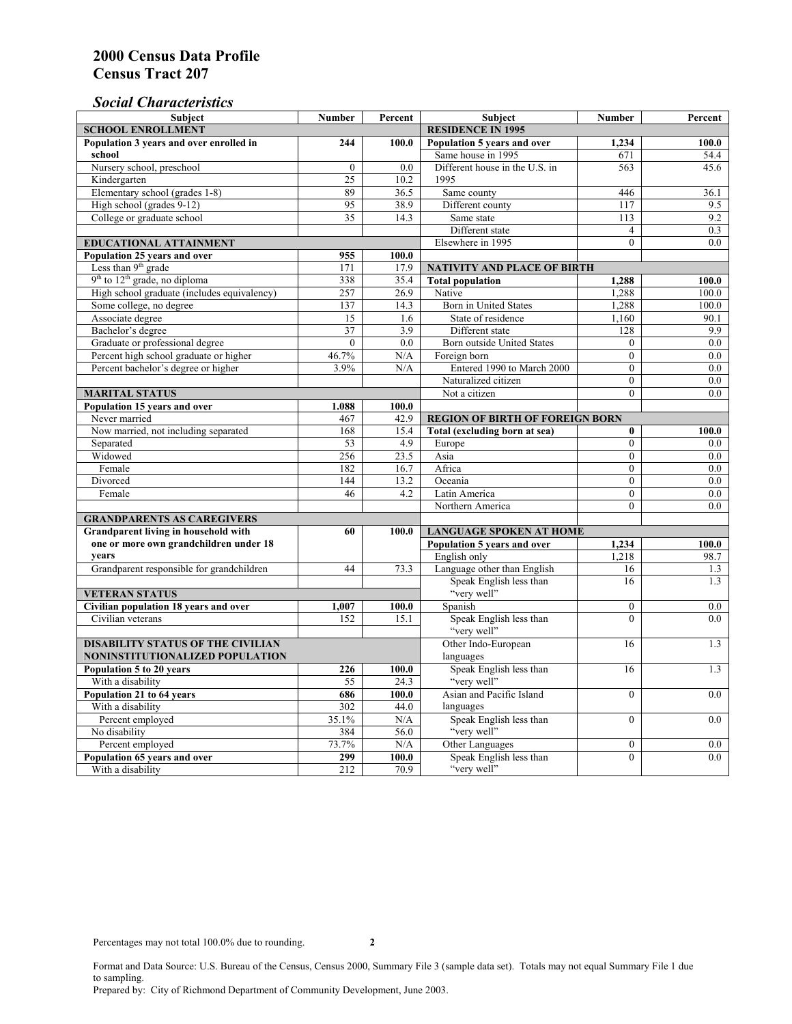### *Social Characteristics*

| <b>Subject</b>                                                                       | <b>Number</b>            | Percent                        | <b>Subject</b>                                | <b>Number</b>                | Percent    |
|--------------------------------------------------------------------------------------|--------------------------|--------------------------------|-----------------------------------------------|------------------------------|------------|
| <b>SCHOOL ENROLLMENT</b>                                                             | <b>RESIDENCE IN 1995</b> |                                |                                               |                              |            |
| Population 3 years and over enrolled in                                              | 244                      | 100.0                          | Population 5 years and over                   | 1,234                        | 100.0      |
| school                                                                               |                          |                                | Same house in 1995                            | 671                          | 54.4       |
| Nursery school, preschool                                                            | $\mathbf{0}$             | 0.0                            | Different house in the U.S. in                | 563                          | 45.6       |
| Kindergarten                                                                         | 25                       | 10.2                           | 1995                                          |                              |            |
| Elementary school (grades 1-8)                                                       | 89                       | 36.5                           | Same county                                   | 446                          | 36.1       |
| High school (grades 9-12)                                                            | 95                       | 38.9                           | Different county                              | 117                          | 9.5        |
| College or graduate school                                                           | 35                       | 14.3                           | Same state                                    | 113                          | 9.2        |
|                                                                                      |                          |                                | Different state                               | $\overline{4}$               | 0.3        |
| <b>EDUCATIONAL ATTAINMENT</b>                                                        |                          |                                | Elsewhere in 1995                             | $\theta$                     | 0.0        |
| Population 25 years and over                                                         | 955                      | 100.0                          |                                               |                              |            |
| Less than 9 <sup>th</sup> grade                                                      | 171                      | 17.9                           | NATIVITY AND PLACE OF BIRTH                   |                              |            |
| $9th$ to $12th$ grade, no diploma                                                    | 338                      | 35.4                           | <b>Total population</b>                       | 1,288                        | 100.0      |
| High school graduate (includes equivalency)                                          | 257                      | 26.9                           | Native                                        | 1.288                        | 100.0      |
| Some college, no degree                                                              | 137                      | 14.3                           | <b>Born</b> in United States                  | 1,288                        | 100.0      |
| Associate degree                                                                     | 15                       | 1.6                            | State of residence                            | 1,160                        | 90.1       |
| Bachelor's degree                                                                    | 37                       | 3.9                            | Different state                               | 128                          | 9.9        |
| Graduate or professional degree                                                      | $\mathbf{0}$             | 0.0                            | Born outside United States                    | $\theta$                     | 0.0        |
| Percent high school graduate or higher                                               | 46.7%                    | N/A                            | Foreign born                                  | $\Omega$                     | 0.0        |
| Percent bachelor's degree or higher                                                  | 3.9%                     | N/A                            | Entered 1990 to March 2000                    | $\mathbf{0}$                 | 0.0        |
|                                                                                      |                          |                                | Naturalized citizen                           | $\Omega$                     | $0.0\,$    |
| <b>MARITAL STATUS</b>                                                                |                          |                                | Not a citizen                                 | $\Omega$                     | 0.0        |
| Population 15 years and over                                                         | 1.088                    | 100.0                          |                                               |                              |            |
| Never married                                                                        | 467                      | 42.9                           | <b>REGION OF BIRTH OF FOREIGN BORN</b>        |                              |            |
| Now married, not including separated                                                 | 168                      | 15.4                           | Total (excluding born at sea)                 | $\bf{0}$                     | 100.0      |
| Separated                                                                            | 53                       | 4.9                            | Europe                                        | $\overline{0}$               | 0.0        |
| Widowed                                                                              | 256                      | 23.5                           | Asia                                          | $\overline{0}$               | 0.0        |
| Female                                                                               | 182                      | 16.7                           | Africa                                        | $\Omega$                     | 0.0        |
| Divorced                                                                             | 144<br>46                | 13.2                           | Oceania                                       | $\Omega$                     | 0.0        |
| Female                                                                               |                          | 4.2                            | Latin America                                 | $\boldsymbol{0}$<br>$\theta$ | 0.0<br>0.0 |
|                                                                                      |                          |                                | Northern America                              |                              |            |
| <b>GRANDPARENTS AS CAREGIVERS</b>                                                    |                          | <b>LANGUAGE SPOKEN AT HOME</b> |                                               |                              |            |
| Grandparent living in household with<br>60<br>one or more own grandchildren under 18 |                          | 100.0                          | Population 5 years and over<br>1,234<br>100.0 |                              |            |
| years                                                                                |                          |                                | English only                                  | 1,218                        | 98.7       |
| Grandparent responsible for grandchildren                                            | 44                       | 73.3                           | Language other than English                   | 16                           | 1.3        |
|                                                                                      |                          |                                | Speak English less than                       | 16                           | 1.3        |
| <b>VETERAN STATUS</b>                                                                |                          |                                | "very well"                                   |                              |            |
| Civilian population 18 years and over                                                | 1,007                    | 100.0                          | Spanish                                       | $\Omega$                     | 0.0        |
| Civilian veterans                                                                    | 152                      | 15.1                           | Speak English less than                       | $\theta$                     | 0.0        |
|                                                                                      |                          |                                | "very well"                                   |                              |            |
| <b>DISABILITY STATUS OF THE CIVILIAN</b>                                             | Other Indo-European      | 16                             | 1.3                                           |                              |            |
| NONINSTITUTIONALIZED POPULATION                                                      | languages                |                                |                                               |                              |            |
| Population 5 to 20 years                                                             | 226                      | 100.0                          | Speak English less than                       | 16                           | 1.3        |
| With a disability                                                                    | 55                       | 24.3                           | "very well"                                   |                              |            |
| Population 21 to 64 years                                                            | 686                      | 100.0                          | Asian and Pacific Island                      | $\theta$                     | 0.0        |
| With a disability                                                                    | 302                      | 44.0                           | languages                                     |                              |            |
| Percent employed                                                                     | 35.1%                    | N/A                            | Speak English less than                       | $\overline{0}$               | 0.0        |
| No disability                                                                        | 384                      | 56.0                           | "very well"                                   |                              |            |
| Percent employed                                                                     | 73.7%                    | N/A                            | Other Languages                               | $\boldsymbol{0}$             | $0.0\,$    |
| Population 65 years and over                                                         | 299                      | 100.0                          | Speak English less than                       | $\mathbf{0}$                 | 0.0        |
| With a disability                                                                    | 212                      | 70.9                           | "very well"                                   |                              |            |

Format and Data Source: U.S. Bureau of the Census, Census 2000, Summary File 3 (sample data set). Totals may not equal Summary File 1 due to sampling.

Prepared by: City of Richmond Department of Community Development, June 2003.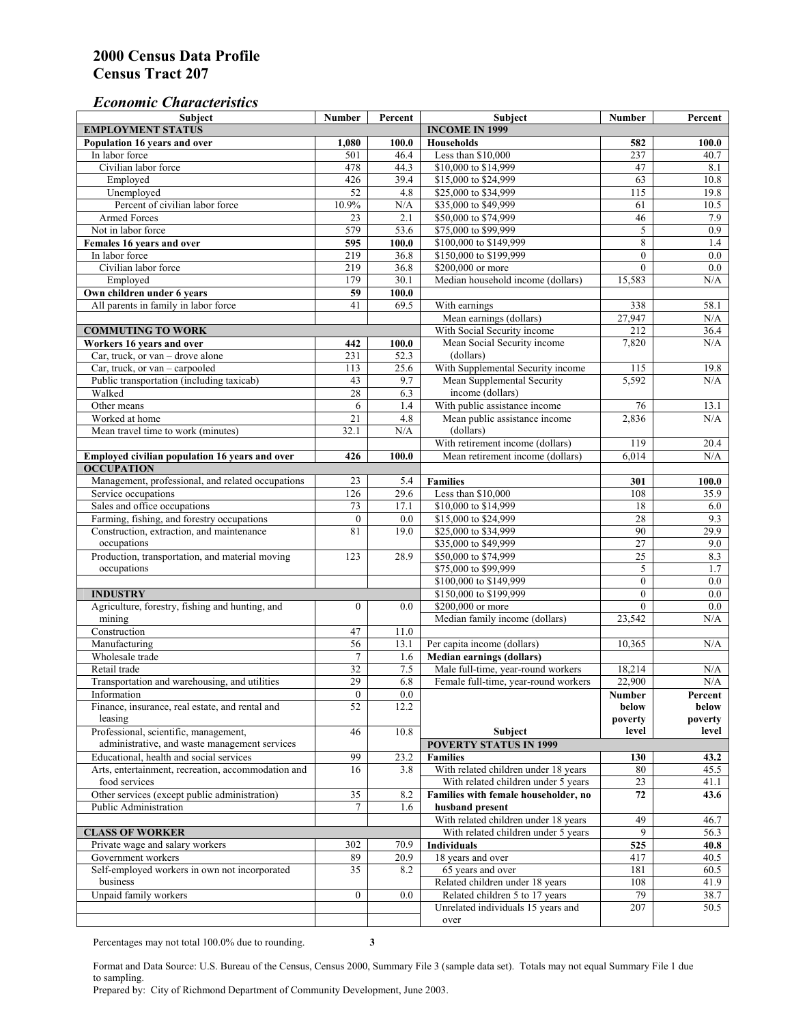#### *Economic Characteristics*

| <b>Subject</b>                                     | Number           | Percent | Subject                                                 | Number          | Percent          |
|----------------------------------------------------|------------------|---------|---------------------------------------------------------|-----------------|------------------|
| <b>EMPLOYMENT STATUS</b>                           |                  |         | <b>INCOME IN 1999</b>                                   |                 |                  |
| Population 16 years and over                       | 1,080            | 100.0   | <b>Households</b>                                       | 582             | 100.0            |
| In labor force                                     | 501              | 46.4    | Less than \$10,000                                      | 237             | 40.7             |
| Civilian labor force                               | 478              | 44.3    | \$10,000 to \$14,999                                    | 47              | 8.1              |
| Employed                                           | 426              | 39.4    | \$15,000 to \$24,999                                    | 63              | 10.8             |
| Unemployed                                         | $\overline{52}$  | 4.8     | \$25,000 to \$34,999                                    | 115             | 19.8             |
| Percent of civilian labor force                    | 10.9%            | N/A     | \$35,000 to \$49,999                                    | 61              | 10.5             |
| Armed Forces                                       | 23               | 2.1     | \$50,000 to \$74,999                                    | 46              | 7.9              |
| Not in labor force                                 | 579              | 53.6    | \$75,000 to \$99,999                                    | 5               | 0.9              |
| Females 16 years and over                          | $\overline{595}$ | 100.0   | \$100,000 to \$149,999                                  | 8               | 1.4              |
| In labor force                                     | 219              | 36.8    | \$150,000 to \$199,999                                  | $\overline{0}$  | $\overline{0.0}$ |
| Civilian labor force                               | 219              | 36.8    | \$200,000 or more                                       | $\overline{0}$  | 0.0              |
| Employed                                           | 179              | 30.1    | Median household income (dollars)                       | 15,583          | N/A              |
| Own children under 6 years                         | 59               | 100.0   |                                                         |                 |                  |
| All parents in family in labor force               | 41               | 69.5    | With earnings                                           | 338             | 58.1             |
|                                                    |                  |         | Mean earnings (dollars)                                 | 27,947          | N/A              |
| <b>COMMUTING TO WORK</b>                           |                  |         | With Social Security income                             | 212             | 36.4             |
| Workers 16 years and over                          | 442              | 100.0   | Mean Social Security income                             | 7,820           | N/A              |
| Car, truck, or van – drove alone                   | 231              | 52.3    | (dollars)                                               |                 |                  |
| Car, truck, or van - carpooled                     | 113              | 25.6    | With Supplemental Security income                       | 115             | 19.8             |
| Public transportation (including taxicab)          | 43               | 9.7     | Mean Supplemental Security                              | 5,592           | N/A              |
| Walked                                             | 28               | 6.3     | income (dollars)                                        |                 |                  |
| Other means                                        | 6                | 1.4     | With public assistance income                           | 76              | 13.1             |
| Worked at home                                     | 21               | 4.8     | Mean public assistance income                           | 2,836           | N/A              |
| Mean travel time to work (minutes)                 | 32.1             | N/A     | (dollars)                                               |                 |                  |
|                                                    |                  |         | With retirement income (dollars)                        | 119             | 20.4             |
| Employed civilian population 16 years and over     | 426              | 100.0   | Mean retirement income (dollars)                        | 6,014           | N/A              |
| <b>OCCUPATION</b>                                  |                  |         |                                                         |                 |                  |
| Management, professional, and related occupations  | 23               | 5.4     | <b>Families</b>                                         | 301             | 100.0            |
| Service occupations                                | 126              | 29.6    | Less than \$10,000                                      | 108             | 35.9             |
| Sales and office occupations                       | 73               | 17.1    | \$10,000 to \$14,999                                    | 18              | 6.0              |
| Farming, fishing, and forestry occupations         | $\boldsymbol{0}$ | 0.0     | \$15,000 to \$24,999                                    | 28              | 9.3              |
| Construction, extraction, and maintenance          | 81               | 19.0    | \$25,000 to \$34,999                                    | 90              | 29.9             |
| occupations                                        |                  |         | \$35,000 to \$49,999                                    | $\overline{27}$ | 9.0              |
| Production, transportation, and material moving    | 123              | 28.9    | \$50,000 to \$74,999                                    | 25              | 8.3              |
| occupations                                        |                  |         | \$75,000 to \$99,999                                    | 5               | 1.7              |
|                                                    |                  |         | \$100,000 to \$149,999                                  | $\theta$        | 0.0              |
| <b>INDUSTRY</b>                                    |                  |         | \$150,000 to \$199,999                                  | $\mathbf{0}$    | 0.0              |
| Agriculture, forestry, fishing and hunting, and    | $\boldsymbol{0}$ | 0.0     | \$200,000 or more                                       | $\theta$        | 0.0              |
| mining                                             |                  |         | Median family income (dollars)                          | 23,542          | N/A              |
| Construction                                       | 47               | 11.0    |                                                         |                 |                  |
| Manufacturing                                      | 56               | 13.1    | Per capita income (dollars)                             | 10,365          | N/A              |
| Wholesale trade                                    | $\overline{7}$   | 1.6     | <b>Median earnings (dollars)</b>                        |                 |                  |
| Retail trade                                       | 32               | $7.5\,$ | Male full-time, year-round workers                      | 18,214          | N/A              |
| Transportation and warehousing, and utilities      | 29               | 6.8     | Female full-time, year-round workers                    | 22,900          | N/A              |
| Information                                        | $\bf{0}$         | 0.0     |                                                         | Number          | Percent          |
| Finance, insurance, real estate, and rental and    | 52               | 12.2    |                                                         | below           | below            |
| leasing                                            |                  |         |                                                         | poverty         | poverty          |
| Professional, scientific, management,              | 46               | 10.8    | Subject                                                 | level           | level            |
| administrative, and waste management services      |                  |         | <b>POVERTY STATUS IN 1999</b>                           |                 |                  |
| Educational, health and social services            | 99               | 23.2    | <b>Families</b>                                         | 130             | 43.2             |
| Arts, entertainment, recreation, accommodation and | 16               | 3.8     | With related children under 18 years                    | 80              | 45.5             |
| food services                                      |                  |         | With related children under 5 years                     | 23              | 41.1             |
| Other services (except public administration)      | $\overline{35}$  |         |                                                         |                 |                  |
| Public Administration                              | $\tau$           | 8.2     | Families with female householder, no<br>husband present | 72              | 43.6             |
|                                                    |                  | 1.6     |                                                         |                 |                  |
|                                                    |                  |         | With related children under 18 years                    | 49<br>9         | 46.7             |
| <b>CLASS OF WORKER</b>                             |                  |         | With related children under 5 years                     |                 | 56.3             |
| Private wage and salary workers                    | 302              | 70.9    | Individuals                                             | 525             | 40.8             |
| Government workers                                 | 89               | 20.9    | 18 years and over                                       | 417             | 40.5             |
| Self-employed workers in own not incorporated      | 35               | 8.2     | 65 years and over                                       | 181             | 60.5             |
| business                                           |                  |         | Related children under 18 years                         | 108             | 41.9             |
| Unpaid family workers                              | $\boldsymbol{0}$ | 0.0     | Related children 5 to 17 years                          | 79              | 38.7             |
|                                                    |                  |         | Unrelated individuals 15 years and                      | 207             | 50.5             |
|                                                    |                  |         | over                                                    |                 |                  |

Percentages may not total 100.0% due to rounding. **3** 

Format and Data Source: U.S. Bureau of the Census, Census 2000, Summary File 3 (sample data set). Totals may not equal Summary File 1 due to sampling.

Prepared by: City of Richmond Department of Community Development, June 2003.